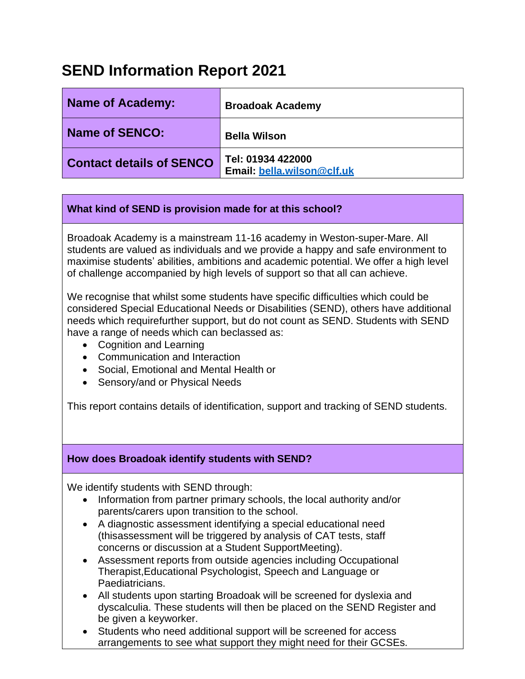# **SEND Information Report 2021**

| <b>Name of Academy:</b>         | <b>Broadoak Academy</b>                         |
|---------------------------------|-------------------------------------------------|
| Name of SENCO:                  | <b>Bella Wilson</b>                             |
| <b>Contact details of SENCO</b> | Tel: 01934 422000<br>Email: bella.wilson@clf.uk |

# **What kind of SEND is provision made for at this school?**

Broadoak Academy is a mainstream 11-16 academy in Weston-super-Mare. All students are valued as individuals and we provide a happy and safe environment to maximise students' abilities, ambitions and academic potential. We offer a high level of challenge accompanied by high levels of support so that all can achieve.

We recognise that whilst some students have specific difficulties which could be considered Special Educational Needs or Disabilities (SEND), others have additional needs which requirefurther support, but do not count as SEND. Students with SEND have a range of needs which can beclassed as:

- Cognition and Learning
- Communication and Interaction
- Social, Emotional and Mental Health or
- Sensory/and or Physical Needs

This report contains details of identification, support and tracking of SEND students.

# **How does Broadoak identify students with SEND?**

We identify students with SEND through:

- Information from partner primary schools, the local authority and/or parents/carers upon transition to the school.
- A diagnostic assessment identifying a special educational need (thisassessment will be triggered by analysis of CAT tests, staff concerns or discussion at a Student SupportMeeting).
- Assessment reports from outside agencies including Occupational Therapist,Educational Psychologist, Speech and Language or Paediatricians.
- All students upon starting Broadoak will be screened for dyslexia and dyscalculia. These students will then be placed on the SEND Register and be given a keyworker.
- Students who need additional support will be screened for access arrangements to see what support they might need for their GCSEs.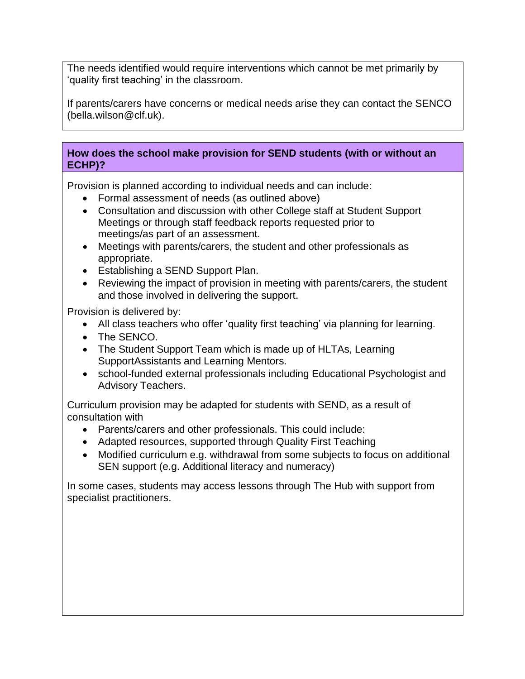The needs identified would require interventions which cannot be met primarily by 'quality first teaching' in the classroom.

If parents/carers have concerns or medical needs arise they can contact the SENCO (bella.wilson@clf.uk).

# **How does the school make provision for SEND students (with or without an ECHP)?**

Provision is planned according to individual needs and can include:

- Formal assessment of needs (as outlined above)
- Consultation and discussion with other College staff at Student Support Meetings or through staff feedback reports requested prior to meetings/as part of an assessment.
- Meetings with parents/carers, the student and other professionals as appropriate.
- Establishing a SEND Support Plan.
- Reviewing the impact of provision in meeting with parents/carers, the student and those involved in delivering the support.

Provision is delivered by:

- All class teachers who offer 'quality first teaching' via planning for learning.
- The SENCO.
- The Student Support Team which is made up of HLTAs, Learning SupportAssistants and Learning Mentors.
- school-funded external professionals including Educational Psychologist and Advisory Teachers.

Curriculum provision may be adapted for students with SEND, as a result of consultation with

- Parents/carers and other professionals. This could include:
- Adapted resources, supported through Quality First Teaching
- Modified curriculum e.g. withdrawal from some subjects to focus on additional SEN support (e.g. Additional literacy and numeracy)

In some cases, students may access lessons through The Hub with support from specialist practitioners.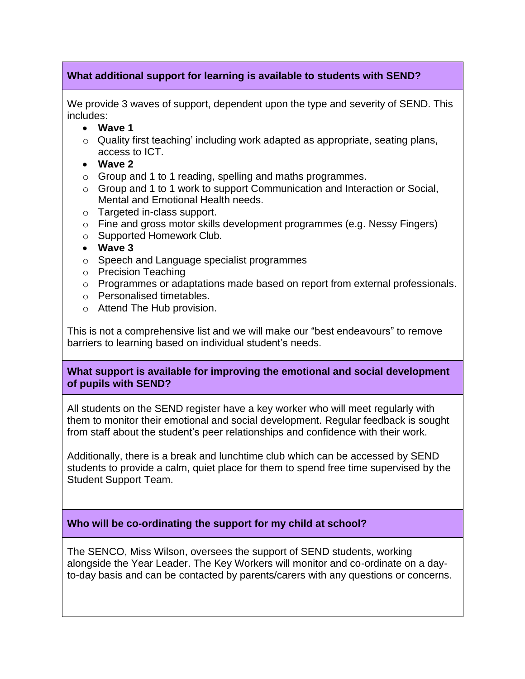### **What additional support for learning is available to students with SEND?**

We provide 3 waves of support, dependent upon the type and severity of SEND. This includes:

- **Wave 1**
- o Quality first teaching' including work adapted as appropriate, seating plans, access to ICT.
- **Wave 2**
- o Group and 1 to 1 reading, spelling and maths programmes.
- o Group and 1 to 1 work to support Communication and Interaction or Social, Mental and Emotional Health needs.
- o Targeted in-class support.
- $\circ$  Fine and gross motor skills development programmes (e.g. Nessy Fingers)
- o Supported Homework Club.
- **Wave 3**
- o Speech and Language specialist programmes
- o Precision Teaching
- o Programmes or adaptations made based on report from external professionals.
- o Personalised timetables.
- o Attend The Hub provision.

This is not a comprehensive list and we will make our "best endeavours" to remove barriers to learning based on individual student's needs.

#### **What support is available for improving the emotional and social development of pupils with SEND?**

All students on the SEND register have a key worker who will meet regularly with them to monitor their emotional and social development. Regular feedback is sought from staff about the student's peer relationships and confidence with their work.

Additionally, there is a break and lunchtime club which can be accessed by SEND students to provide a calm, quiet place for them to spend free time supervised by the Student Support Team.

# **Who will be co-ordinating the support for my child at school?**

The SENCO, Miss Wilson, oversees the support of SEND students, working alongside the Year Leader. The Key Workers will monitor and co-ordinate on a dayto-day basis and can be contacted by parents/carers with any questions or concerns.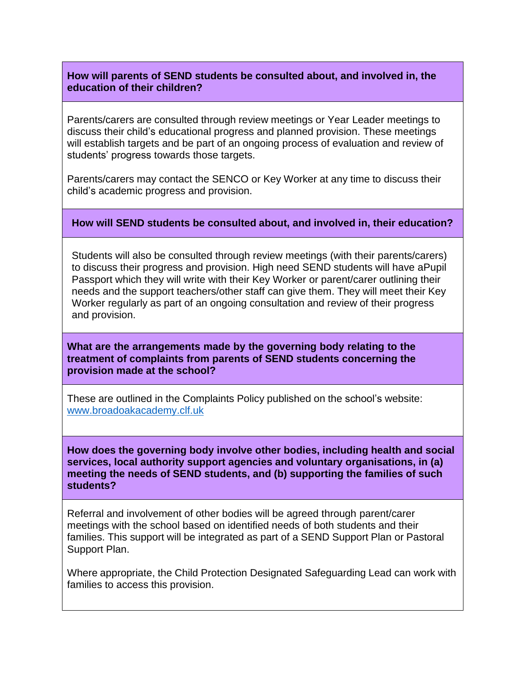#### **How will parents of SEND students be consulted about, and involved in, the education of their children?**

Parents/carers are consulted through review meetings or Year Leader meetings to discuss their child's educational progress and planned provision. These meetings will establish targets and be part of an ongoing process of evaluation and review of students' progress towards those targets.

Parents/carers may contact the SENCO or Key Worker at any time to discuss their child's academic progress and provision.

#### **How will SEND students be consulted about, and involved in, their education?**

Students will also be consulted through review meetings (with their parents/carers) to discuss their progress and provision. High need SEND students will have aPupil Passport which they will write with their Key Worker or parent/carer outlining their needs and the support teachers/other staff can give them. They will meet their Key Worker regularly as part of an ongoing consultation and review of their progress and provision.

#### **What are the arrangements made by the governing body relating to the treatment of complaints from parents of SEND students concerning the provision made at the school?**

These are outlined in the Complaints Policy published on the school's website: [www.broadoakacademy.clf.uk](http://www.broadoakacademy.clf.uk/)

**How does the governing body involve other bodies, including health and social services, local authority support agencies and voluntary organisations, in (a) meeting the needs of SEND students, and (b) supporting the families of such students?**

Referral and involvement of other bodies will be agreed through parent/carer meetings with the school based on identified needs of both students and their families. This support will be integrated as part of a SEND Support Plan or Pastoral Support Plan.

Where appropriate, the Child Protection Designated Safeguarding Lead can work with families to access this provision.